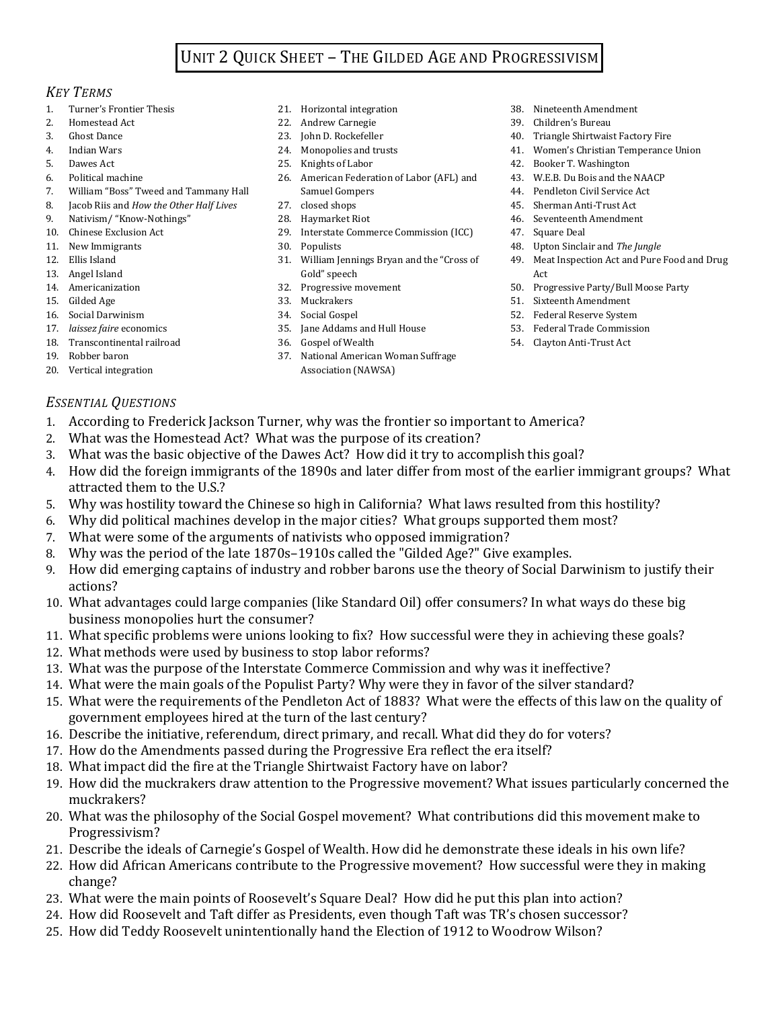## UNIT 2 QUICK SHEET – THE GILDED AGE AND PROGRESSIVISM

## *KEY TERMS*

- 1. Turner's Frontier Thesis
- 2. Homestead Act
- 3. Ghost Dance
- 4. Indian Wars
- 5. Dawes Act 6. Political machine
- 
- 7. William "Boss" Tweed and Tammany Hall 8. Jacob Riis and *How the Other Half Lives*
- 9. Nativism/ "Know-Nothings"
- 10. Chinese Exclusion Act
- 11. New Immigrants
- 12. Ellis Island
- 13. Angel Island
- 14. Americanization
- 15. Gilded Age
- 16. Social Darwinism
- 17. *laissez faire* economics
- 18. Transcontinental railroad
- 19. Robber baron
- 20. Vertical integration
- 21. Horizontal integration
- 22. Andrew Carnegie
- 23. John D. Rockefeller
- 24. Monopolies and trusts
- 25. Knights of Labor
- 26. American Federation of Labor (AFL) and Samuel Gompers
- 27. closed shops
- 28. Haymarket Riot
- 29. Interstate Commerce Commission (ICC)
- 30. Populists
- 31. William Jennings Bryan and the "Cross of Gold" speech
- 32. Progressive movement
- 33. Muckrakers
- 34. Social Gospel
- 35. Jane Addams and Hull House
- 36. Gospel of Wealth
- 37. National American Woman Suffrage Association (NAWSA)
- 38. Nineteenth Amendment
- 39. Children's Bureau
- 40. Triangle Shirtwaist Factory Fire
- 41. Women's Christian Temperance Union
- 42. Booker T. Washington
- 43. W.E.B. Du Bois and the NAACP
- 44. Pendleton Civil Service Act
- 45. Sherman Anti-Trust Act
- 46. Seventeenth Amendment
- 47. Square Deal
- 48. Upton Sinclair and *The Jungle*
- 49. Meat Inspection Act and Pure Food and Drug **A**<sup>ct</sup>
- 50. Progressive Party/Bull Moose Party
- 51. Sixteenth Amendment
- 52. Federal Reserve System
- 53. Federal Trade Commission
- 54. Clayton Anti-Trust Act

- *ESSENTIAL QUESTIONS*
- 1. According to Frederick Jackson Turner, why was the frontier so important to America?
- 2. What was the Homestead Act? What was the purpose of its creation?
- 3. What was the basic objective of the Dawes Act? How did it try to accomplish this goal?
- 4. How did the foreign immigrants of the 1890s and later differ from most of the earlier immigrant groups? What attracted them to the U.S.?
- 5. Why was hostility toward the Chinese so high in California? What laws resulted from this hostility?
- 6. Why did political machines develop in the major cities? What groups supported them most?
- 7. What were some of the arguments of nativists who opposed immigration?
- 8. Why was the period of the late 1870s–1910s called the "Gilded Age?" Give examples.
- 9. How did emerging captains of industry and robber barons use the theory of Social Darwinism to justify their actions?
- 10. What advantages could large companies (like Standard Oil) offer consumers? In what ways do these big business monopolies hurt the consumer?
- 11. What specific problems were unions looking to fix? How successful were they in achieving these goals?
- 12. What methods were used by business to stop labor reforms?
- 13. What was the purpose of the Interstate Commerce Commission and why was it ineffective?
- 14. What were the main goals of the Populist Party? Why were they in favor of the silver standard?
- 15. What were the requirements of the Pendleton Act of 1883? What were the effects of this law on the quality of government employees hired at the turn of the last century?
- 16. Describe the initiative, referendum, direct primary, and recall. What did they do for voters?
- 17. How do the Amendments passed during the Progressive Era reflect the era itself?
- 18. What impact did the fire at the Triangle Shirtwaist Factory have on labor?
- 19. How did the muckrakers draw attention to the Progressive movement? What issues particularly concerned the muckrakers?
- 20. What was the philosophy of the Social Gospel movement? What contributions did this movement make to Progressivism?
- 21. Describe the ideals of Carnegie's Gospel of Wealth. How did he demonstrate these ideals in his own life?
- 22. How did African Americans contribute to the Progressive movement? How successful were they in making change?
- 23. What were the main points of Roosevelt's Square Deal? How did he put this plan into action?
- 24. How did Roosevelt and Taft differ as Presidents, even though Taft was TR's chosen successor?
- 25. How did Teddy Roosevelt unintentionally hand the Election of 1912 to Woodrow Wilson?